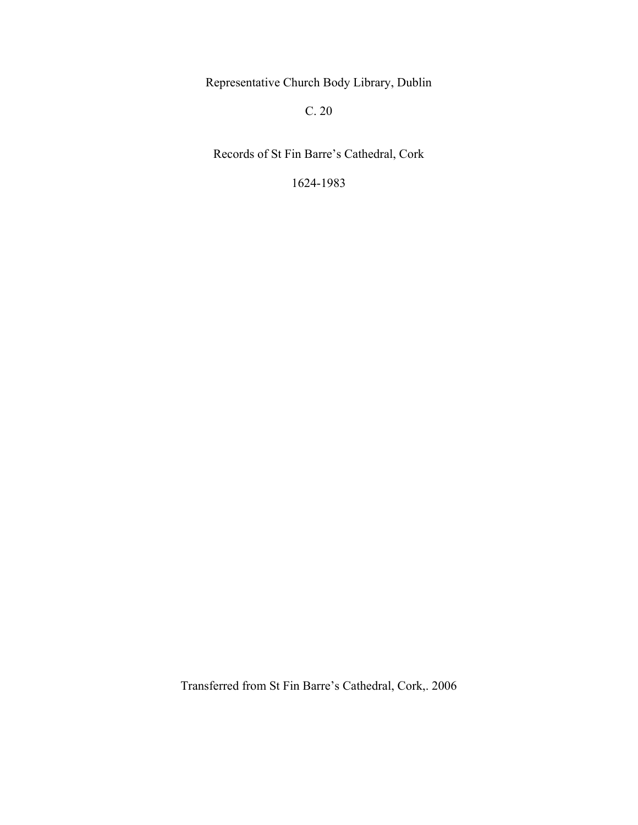Representative Church Body Library, Dublin

C. 20

Records of St Fin Barre's Cathedral, Cork

1624-1983

Transferred from St Fin Barre's Cathedral, Cork,. 2006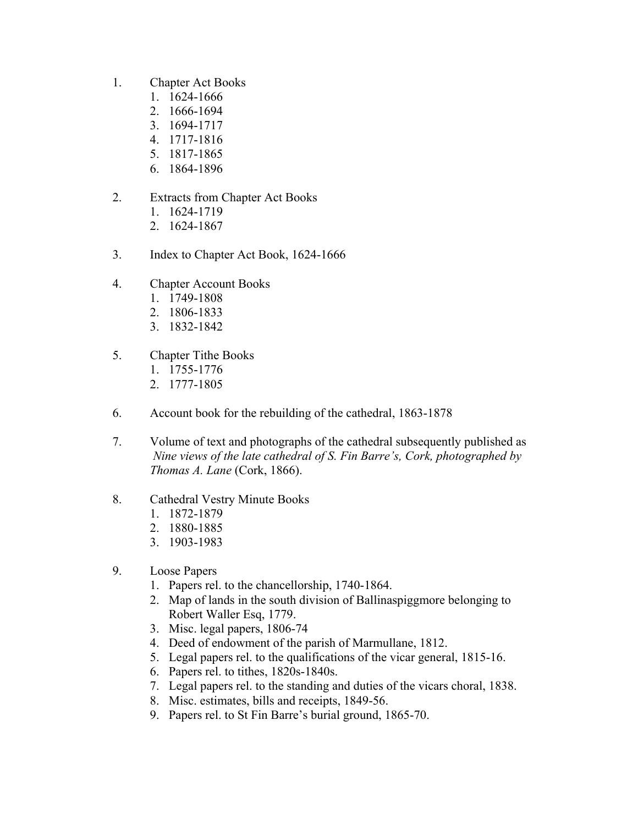- 1. Chapter Act Books
	- 1. 1624-1666
	- 2. 1666-1694
	- 3. 1694-1717
	- 4. 1717-1816
	- 5. 1817-1865
	- 6. 1864-1896
- 2. Extracts from Chapter Act Books
	- 1. 1624-1719
	- 2. 1624-1867
- 3. Index to Chapter Act Book, 1624-1666
- 4. Chapter Account Books
	- 1. 1749-1808
	- 2. 1806-1833
	- 3. 1832-1842
- 5. Chapter Tithe Books
	- 1. 1755-1776
	- 2. 1777-1805
- 6. Account book for the rebuilding of the cathedral, 1863-1878
- 7. Volume of text and photographs of the cathedral subsequently published as  *Nine views of the late cathedral of S. Fin Barre's, Cork, photographed by Thomas A. Lane* (Cork, 1866).
- 8. Cathedral Vestry Minute Books
	- 1. 1872-1879
	- 2. 1880-1885
	- 3. 1903-1983
- 9. Loose Papers
	- 1. Papers rel. to the chancellorship, 1740-1864.
	- 2. Map of lands in the south division of Ballinaspiggmore belonging to Robert Waller Esq, 1779.
	- 3. Misc. legal papers, 1806-74
	- 4. Deed of endowment of the parish of Marmullane, 1812.
	- 5. Legal papers rel. to the qualifications of the vicar general, 1815-16.
	- 6. Papers rel. to tithes, 1820s-1840s.
	- 7. Legal papers rel. to the standing and duties of the vicars choral, 1838.
	- 8. Misc. estimates, bills and receipts, 1849-56.
	- 9. Papers rel. to St Fin Barre's burial ground, 1865-70.